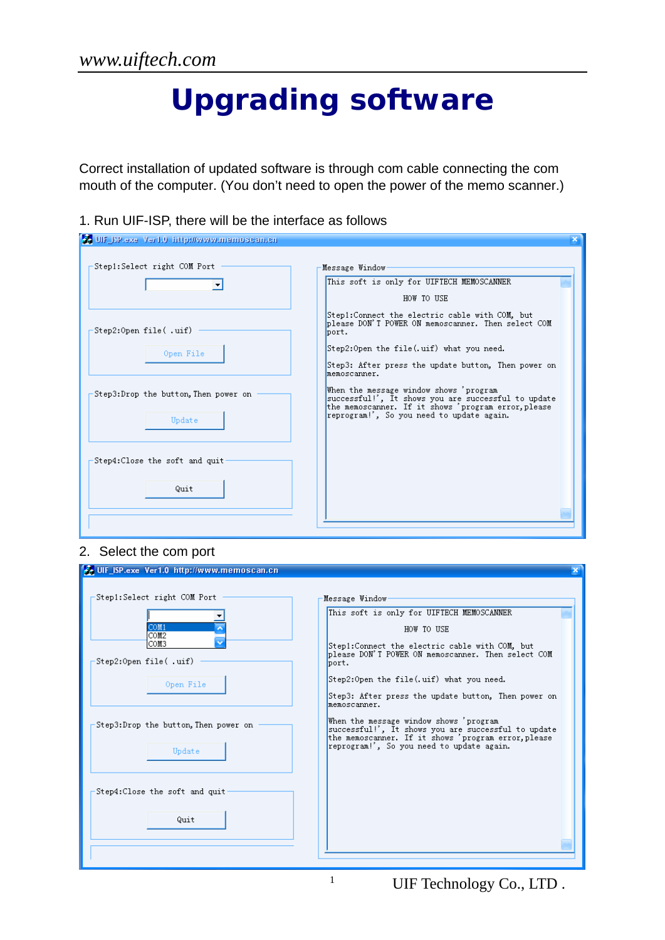# **Upgrading software**

Correct installation of updated software is through com cable connecting the com mouth of the computer. (You don't need to open the power of the memo scanner.)

1. Run UIF-ISP, there will be the interface as follows

| <b>3. UIF_ISP.exe Ver1.0 http://www.memoscan.cn</b> |                                                                                                                                                                                                                                                                          |
|-----------------------------------------------------|--------------------------------------------------------------------------------------------------------------------------------------------------------------------------------------------------------------------------------------------------------------------------|
| Step1:Select right COM Port                         | Message Window<br>This soft is only for UIFTECH MEMOSCANNER<br>HOW TO USE                                                                                                                                                                                                |
| Step2:Open file(.uif)<br>Open File                  | Step1:Connect the electric cable with COM, but<br>blease DON'T POWER ON memoscanner. Then select COM<br>bort.<br>Step2:Open the file(.uif) what you need.                                                                                                                |
| Step3:Drop the button, Then power on<br>Update      | Step3: After press the update button, Then power on<br>memoscanner.<br>When the message window shows 'program<br>successful!', It shows you are successful to update<br>the memoscanner. If it shows 'program error, please<br>reprogram!', So you need to update again. |
| Step4: Close the soft and quit<br>Quit              |                                                                                                                                                                                                                                                                          |
|                                                     |                                                                                                                                                                                                                                                                          |

#### 2. Select the com port

| UIF_ISP.exe Ver1.0 http://www.memoscan.cn                                                                                                      |                                                                                                                                                                                                                                                                                                                                                          |
|------------------------------------------------------------------------------------------------------------------------------------------------|----------------------------------------------------------------------------------------------------------------------------------------------------------------------------------------------------------------------------------------------------------------------------------------------------------------------------------------------------------|
| Step1:Select right COM Port<br>COM1<br>COM <sub>2</sub><br>ICOM3<br>Step2:Open file(.uif)<br>Open File<br>Step3:Drop the button, Then power on | Message Window<br>This soft is only for UIFTECH MEMOSCANNER<br>HOW TO USE<br>Step1:Connect the electric cable with COM, but<br>blease DON'T POWER ON memoscanner. Then select COM<br>port.<br>Step2:Open the file(.uif) what you need.<br>Step3: After press the update button, Then power on<br>memoscanner.<br>When the message window shows 'program' |
| Update<br>Step4: Close the soft and quit<br>Quit                                                                                               | successful!', It shows you are successful to update<br>the memoscanner. If it shows 'program error, please<br>reprogram!', So you need to update again.                                                                                                                                                                                                  |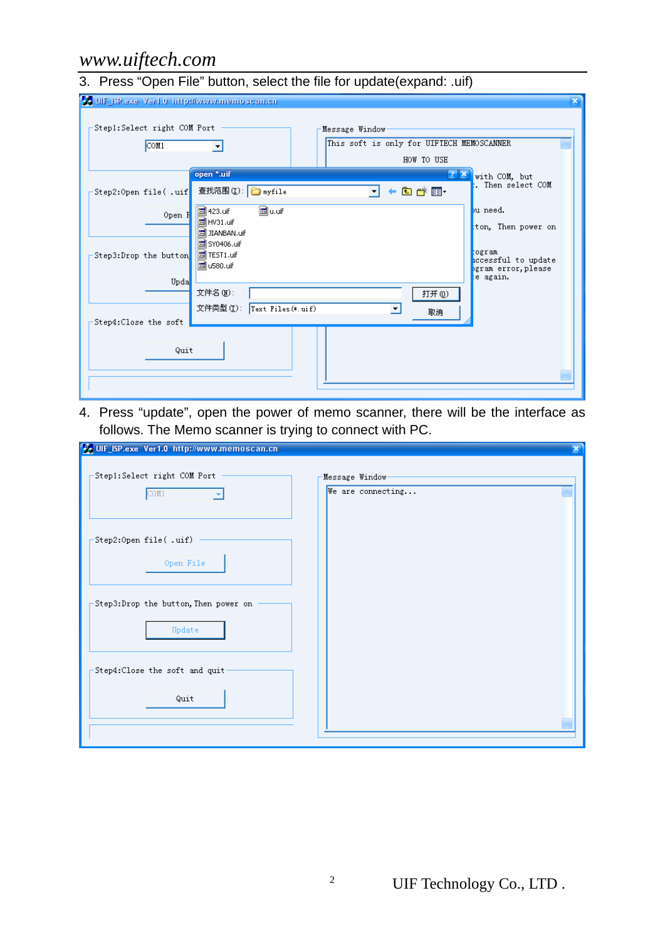#### 3. Press "Open File" button, select the file for update(expand: .uif)

| UIF_BP.exe_Ver1.0_http://www.memoscan.cn                                                                                     |                                                      |
|------------------------------------------------------------------------------------------------------------------------------|------------------------------------------------------|
| Step1:Select right COM Port<br>Message Window<br>This soft is only for UIFTECH MEMOSCANNER<br>COM <sub>1</sub><br>HOW TO USE |                                                      |
| open *.uif<br>$2 \times$<br>$\blacktriangledown$ + $\blacksquare$ $\blacksquare$<br>查找范围(L): nyfile<br>Step2:Open file(.uif  | with COM, but<br>. Then select COM                   |
| <b>a</b> u.uif<br><b>同</b> 423.uif<br>Open F<br>B HV31.uif<br>园 JIANBAN.uif                                                  | bu need.<br>ton, Then power on                       |
| <b>同</b> SY0406.uif<br>to TEST1.uif<br>Step3:Drop the button<br><b>to</b> u580.uif                                           | togram<br>iccessful to update<br>bgram error, please |
| Upda<br>文件名(M):<br>打开(0)<br>文件类型(T): Text Files (*. uif)                                                                     | e again.                                             |
| 取消<br>Step4:Close the soft                                                                                                   |                                                      |
| Quit                                                                                                                         |                                                      |

4. Press "update", open the power of memo scanner, there will be the interface as follows. The Memo scanner is trying to connect with PC.

| UIF_ISP.exe Ver1.0 http://www.memoscan.cn      | ×                                    |
|------------------------------------------------|--------------------------------------|
| -Step1:Select right COM Port<br>COM1           | Message Window-<br>We are connecting |
| Step2:Open file(.uif)<br>Open File             |                                      |
| Step3:Drop the button, Then power on<br>Update |                                      |
| Step4: Close the soft and quit<br>Quit         |                                      |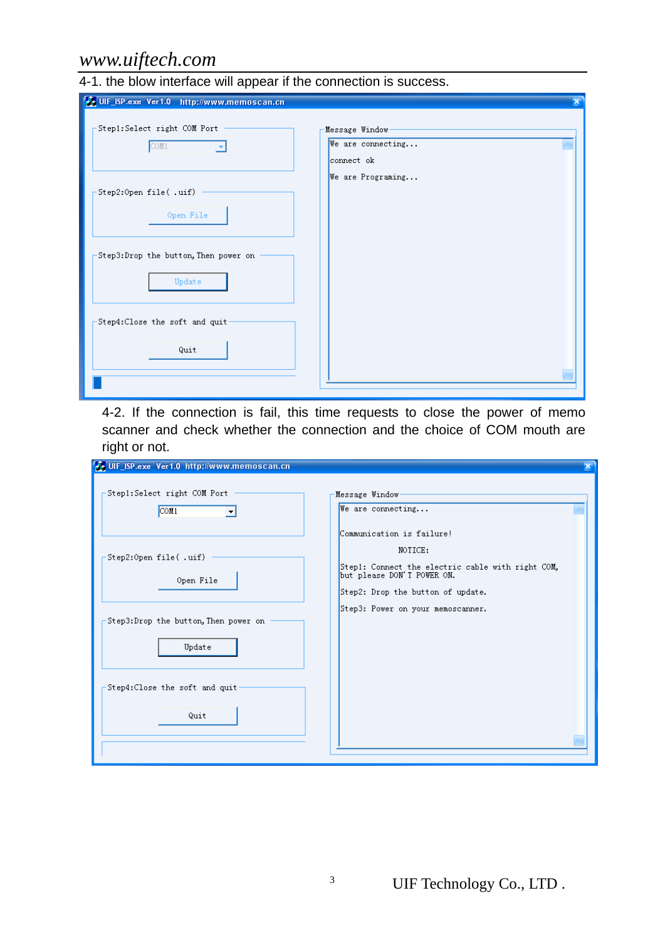4-1. the blow interface will appear if the connection is success.

| UIF_ISP.exe Ver1.0 http://www.memoscan.cn      |                                                    |
|------------------------------------------------|----------------------------------------------------|
| Step1:Select right COM Port<br>COM1            | Message Window-<br>We are connecting<br>connect ok |
| Step2:Open file(.uif)<br>Open File             | We are Programing                                  |
| Step3:Drop the button, Then power on<br>Update |                                                    |
| Step4:Close the soft and quit<br>Quit          |                                                    |

4-2. If the connection is fail, this time requests to close the power of memo scanner and check whether the connection and the choice of COM mouth are right or not.

| UIF_ISP.exe Ver1.0 http://www.memoscan.cn      |                                                                                                                                                              |
|------------------------------------------------|--------------------------------------------------------------------------------------------------------------------------------------------------------------|
| Step1:Select right COM Port<br>COM1            | Message Window-<br>We are connecting                                                                                                                         |
| Step2:Open file(.uif)<br>Open File             | Communication is failure!<br>NOTICE:<br>Step1: Connect the electric cable with right COM,<br>but please DON'T POWER ON.<br>Step2: Drop the button of update. |
| Step3:Drop the button, Then power on<br>Update | Step3: Power on your memoscanner.                                                                                                                            |
| Step4: Close the soft and quit-<br>Quit        |                                                                                                                                                              |

<sup>3</sup> UIF Technology Co., LTD.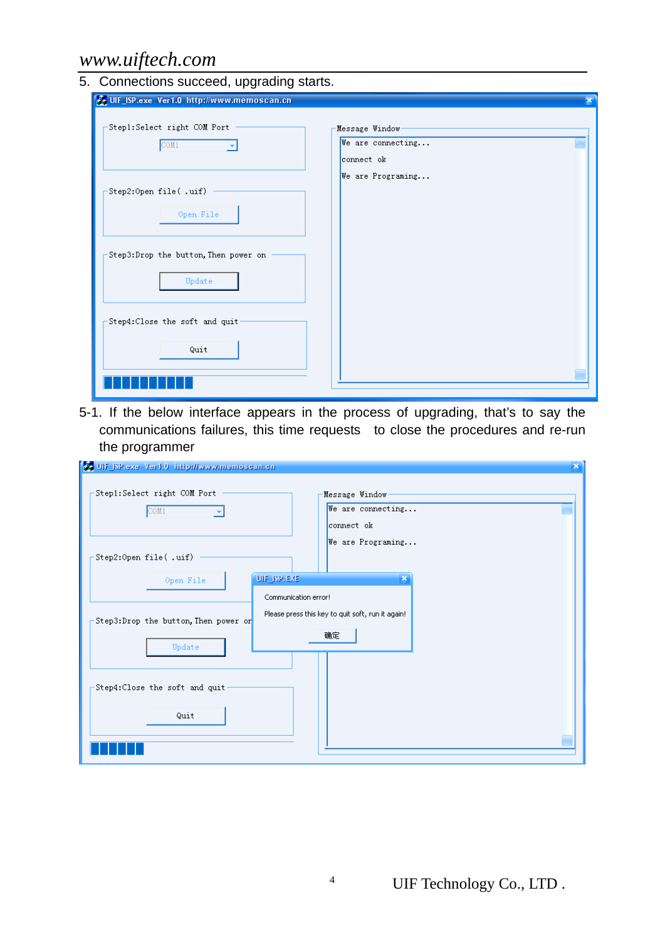| 5. Connections succeed, upgrading starts. |  |  |  |  |  |  |
|-------------------------------------------|--|--|--|--|--|--|
|-------------------------------------------|--|--|--|--|--|--|

| A. UIF_ISP.exe Ver1.0 http://www.memoscan.cn   |                                                    | × |
|------------------------------------------------|----------------------------------------------------|---|
| Step1:Select right COM Port<br>COM1            | Message Window-<br>We are connecting<br>connect ok |   |
| Step2:Open file(.uif)<br>Open File             | We are Programing                                  |   |
| Step3:Drop the button, Then power on<br>Update |                                                    |   |
| Step4:Close the soft and quit                  |                                                    |   |
| Quit                                           |                                                    |   |

5-1.If the below interface appears in the process of upgrading, that's to say the communications failures, this time requests to close the procedures and re-run the programmer

| 30 UIF_ISP.exe Ver1.0 http://www.memosean.en<br>$\mathbf x$ |                                                    |  |
|-------------------------------------------------------------|----------------------------------------------------|--|
| Step1:Select right COM Port<br>COM1                         | Message Window-<br>We are connecting<br>connect ok |  |
| Step2:Open file(.uif)<br>Open File                          | We are Programing<br>UIF_ISPLEXE                   |  |
|                                                             | Communication error!                               |  |
| Step3:Drop the button, Then power or                        | Please press this key to quit soft, run it again!  |  |
| Update                                                      | 确定                                                 |  |
| Step4:Close the soft and quit-<br>Quit                      |                                                    |  |